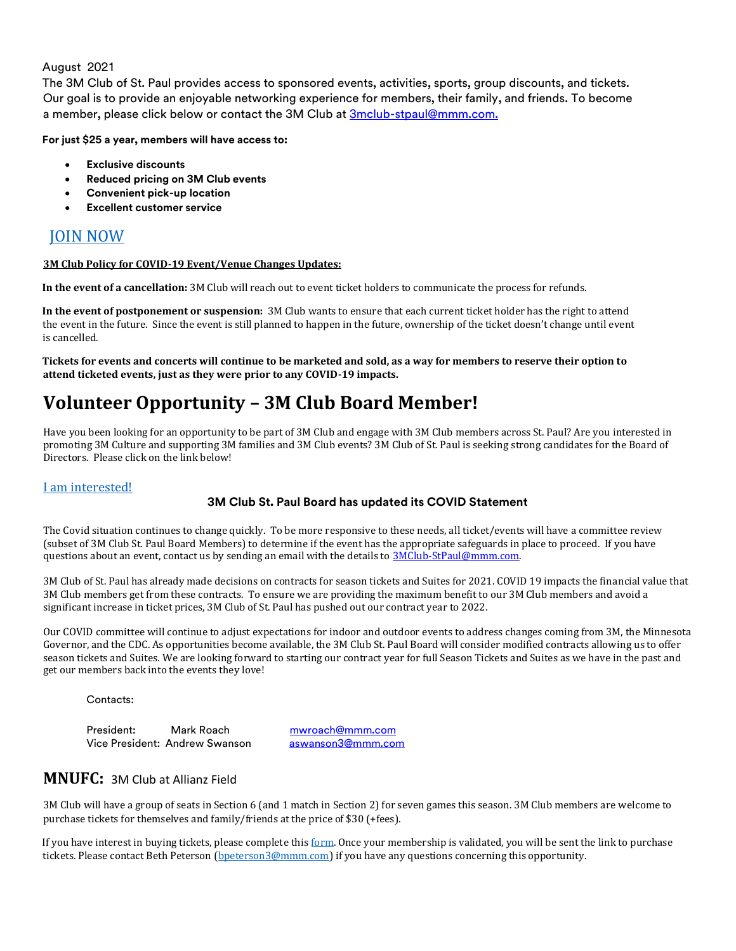## August 2021

The 3M Club of St. Paul provides access to sponsored events, activities, sports, group discounts, and tickets. Our goal is to provide an enjoyable networking experience for members, their family, and friends. To become a member, please click below or contact the 3M Club at 3mclub-stpaul@mmm.com.

**For just \$25 a year, members will have access to:**

- **Exclusive discounts**
- **Reduced pricing on 3M Club events**
- **Convenient pick-up location**
- **Excellent customer service**

# [JOIN NOW](https://forms.office.com/Pages/ResponsePage.aspx?id=xMPK-qXiV0KvdiBcioId2xfPV-iTQi9EmSvDStt9q_VUOTZFTzJER0FJOFE0NFdLSTJPWjRaWk1PSCQlQCN0PWcu)

#### **3M Club Policy for COVID-19 Event/Venue Changes Updates:**

**In the event of a cancellation:** 3M Club will reach out to event ticket holders to communicate the process for refunds.

**In the event of postponement or suspension:** 3M Club wants to ensure that each current ticket holder has the right to attend the event in the future. Since the event is still planned to happen in the future, ownership of the ticket doesn't change until event is cancelled.

**Tickets for events and concerts will continue to be marketed and sold, as a way for members to reserve their option to attend ticketed events, just as they were prior to any COVID-19 impacts.**

# **Volunteer Opportunity – 3M Club Board Member!**

Have you been looking for an opportunity to be part of 3M Club and engage with 3M Club members across St. Paul? Are you interested in promoting 3M Culture and supporting 3M families and 3M Club events? 3M Club of St. Paul is seeking strong candidates for the Board of Directors. Please click on the link below!

## [I am interested!](https://forms.office.com/Pages/ResponsePage.aspx?id=xMPK-qXiV0KvdiBcioId2xfPV-iTQi9EmSvDStt9q_VUMjhKWkFLMVRQNkdCUlg5Mk9LR1ZIUUFWMiQlQCN0PWcu)

## **3M Club St. Paul Board has updated its COVID Statement**

The Covid situation continues to change quickly. To be more responsive to these needs, all ticket/events will have a committee review (subset of 3M Club St. Paul Board Members) to determine if the event has the appropriate safeguards in place to proceed. If you have questions about an event, contact us by sending an email with the details to [3MClub-StPaul@mmm.com.](mailto:3MClub-StPaul@mmm.com)

3M Club of St. Paul has already made decisions on contracts for season tickets and Suites for 2021. COVID 19 impacts the financial value that 3M Club members get from these contracts. To ensure we are providing the maximum benefit to our 3M Club members and avoid a significant increase in ticket prices, 3M Club of St. Paul has pushed out our contract year to 2022.

Our COVID committee will continue to adjust expectations for indoor and outdoor events to address changes coming from 3M, the Minnesota Governor, and the CDC. As opportunities become available, the 3M Club St. Paul Board will consider modified contracts allowing us to offer season tickets and Suites. We are looking forward to starting our contract year for full Season Tickets and Suites as we have in the past and get our members back into the events they love!

Contacts:

President: Mark Roach mwroach@mmm.com Vice President: Andrew Swanson aswanson3@mmm.com

## **MNUFC:** 3M Club at Allianz Field

3M Club will have a group of seats in Section 6 (and 1 match in Section 2) for seven games this season. 3M Club members are welcome to purchase tickets for themselves and family/friends at the price of \$30 (+fees).

If you have interest in buying tickets, please complete this [form.](https://forms.office.com/r/frjXUSb1DE) Once your membership is validated, you will be sent the link to purchase tickets. Please contact Beth Peterson [\(bpeterson3@mmm.com\)](mailto:bpeterson3@mmm.com) if you have any questions concerning this opportunity.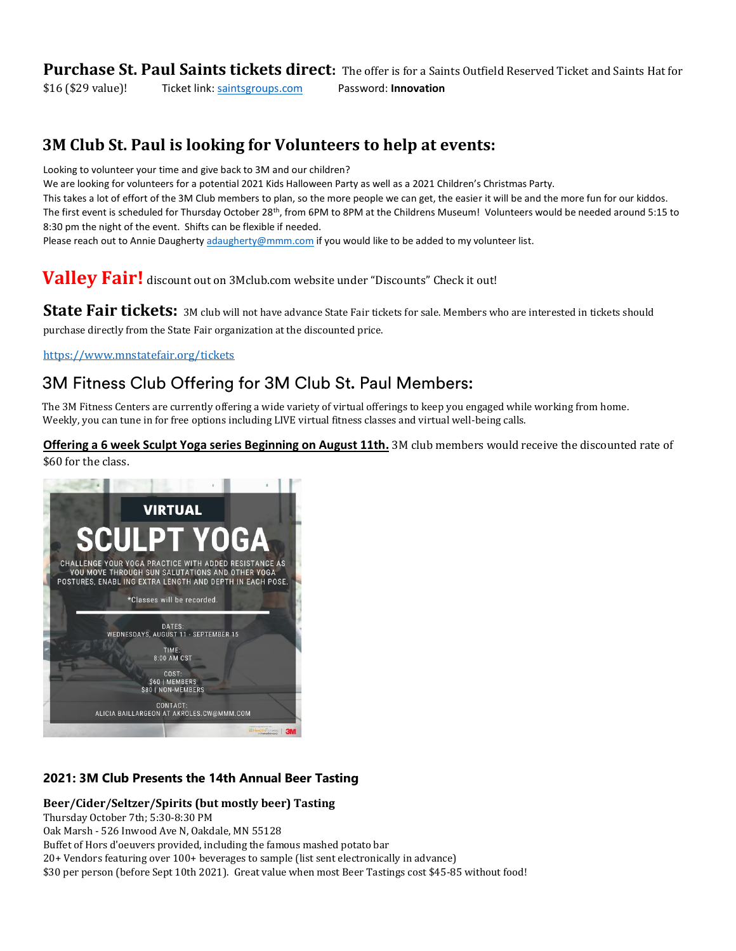**Purchase St. Paul Saints tickets direct:** The offer is for a Saints Outfield Reserved Ticket and Saints Hat for \$16 (\$29 value)! Ticket link[: saintsgroups.com](http://saintsgroups.com/) Password: **Innovation**

# **3M Club St. Paul is looking for Volunteers to help at events:**

Looking to volunteer your time and give back to 3M and our children?

We are looking for volunteers for a potential 2021 Kids Halloween Party as well as a 2021 Children's Christmas Party.

This takes a lot of effort of the 3M Club members to plan, so the more people we can get, the easier it will be and the more fun for our kiddos. The first event is scheduled for Thursday October 28<sup>th</sup>, from 6PM to 8PM at the Childrens Museum! Volunteers would be needed around 5:15 to 8:30 pm the night of the event. Shifts can be flexible if needed.

Please reach out to Annie Daugherty [adaugherty@mmm.com](mailto:adaugherty@mmm.com) if you would like to be added to my volunteer list.

**Valley Fair!** discount out on 3Mclub.com website under "Discounts" Check it out!

State Fair tickets: 3M club will not have advance State Fair tickets for sale. Members who are interested in tickets should purchase directly from the State Fair organization at the discounted price.

<https://www.mnstatefair.org/tickets>

# 3M Fitness Club Offering for 3M Club St. Paul Members:

The 3M Fitness Centers are currently offering a wide variety of virtual offerings to keep you engaged while working from home. Weekly, you can tune in for free options including LIVE virtual fitness classes and virtual well-being calls.

**Offering a 6 week Sculpt Yoga series Beginning on August 11th.** 3M club members would receive the discounted rate of \$60 for the class.



## **2021: 3M Club Presents the 14th Annual Beer Tasting**

## **Beer/Cider/Seltzer/Spirits (but mostly beer) Tasting**

Thursday October 7th; 5:30-8:30 PM

Oak Marsh - 526 Inwood Ave N, Oakdale, MN 55128

Buffet of Hors d'oeuvers provided, including the famous mashed potato bar

20+ Vendors featuring over 100+ beverages to sample (list sent electronically in advance)

\$30 per person (before Sept 10th 2021). Great value when most Beer Tastings cost \$45-85 without food!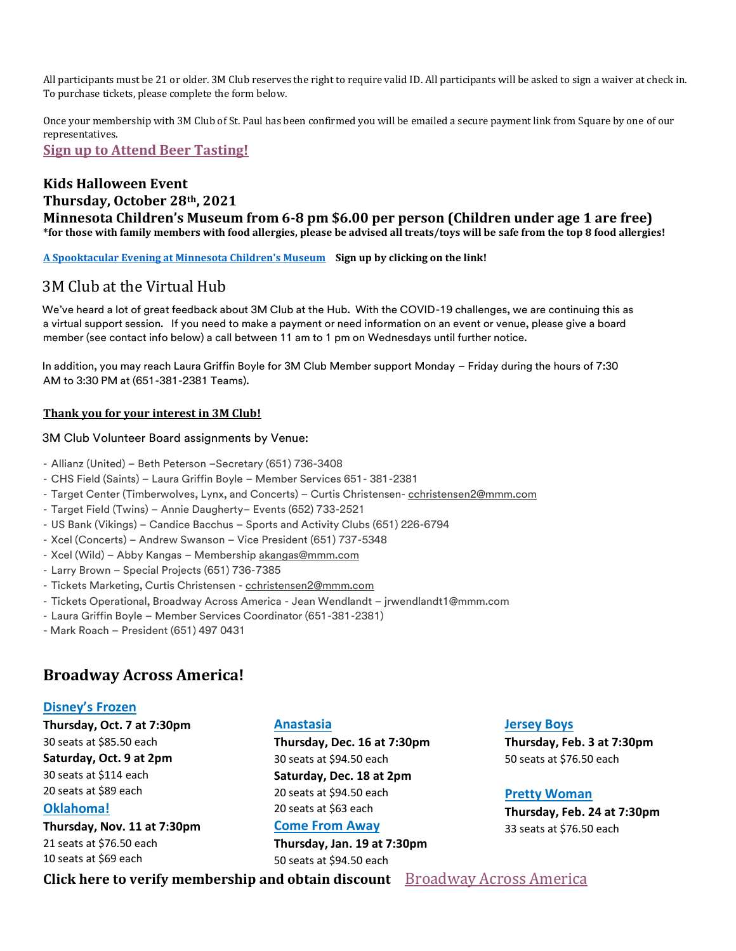All participants must be 21 or older. 3M Club reserves the right to require valid ID. All participants will be asked to sign a waiver at check in. To purchase tickets, please complete the form below.

Once your membership with 3M Club of St. Paul has been confirmed you will be emailed a secure payment link from Square by one of our representatives.

**[Sign up to Attend Beer Tasting!](https://forms.office.com/Pages/ResponsePage.aspx?id=xMPK-qXiV0KvdiBcioId2xfPV-iTQi9EmSvDStt9q_VUNUpLSUZaUkVWQVdXUFFWNklLRVJJUTJQMyQlQCNjPTEkJUAjdD1n)**

## **Kids Halloween Event Thursday, October 28th, 2021 Minnesota Children's Museum from 6-8 pm \$6.00 per person (Children under age 1 are free) \*for those with family members with food allergies, please be advised all treats/toys will be safe from the top 8 food allergies!**

**[A Spooktacular Evening at Minnesota Children's Museum](https://forms.office.com/Pages/ResponsePage.aspx?id=xMPK-qXiV0KvdiBcioId2xfPV-iTQi9EmSvDStt9q_VUN1pLN0ZMNVdLVkpUR1VDM0RUWkIzUzAxTSQlQCNjPTEkJUAjdD1n) Sign up by clicking on the link!**

# 3M Club at the Virtual Hub

We've heard a lot of great feedback about 3M Club at the Hub. With the COVID-19 challenges, we are continuing this as a virtual support session. If you need to make a payment or need information on an event or venue, please give a board member (see contact info below) a call between 11 am to 1 pm on Wednesdays until further notice.

In addition, you may reach Laura Griffin Boyle for 3M Club Member support Monday – Friday during the hours of 7:30 AM to 3:30 PM at (651-381-2381 Teams).

## **Thank you for your interest in 3M Club!**

## 3M Club Volunteer Board assignments by Venue:

- Allianz (United) Beth Peterson –Secretary (651) 736-3408
- CHS Field (Saints) Laura Griffin Boyle Member Services 651- 381-2381
- Target Center (Timberwolves, Lynx, and Concerts) Curtis Christensen- cchristensen2@mmm.com
- Target Field (Twins) Annie Daugherty– Events (652) 733-2521
- US Bank (Vikings) Candice Bacchus Sports and Activity Clubs (651) 226-6794
- Xcel (Concerts) Andrew Swanson Vice President (651) 737-5348
- Xcel (Wild) Abby Kangas Membership akangas@mmm.com
- Larry Brown Special Projects (651) 736-7385
- Tickets Marketing, Curtis Christensen cchristensen2@mmm.com
- Tickets Operational, Broadway Across America Jean Wendlandt jrwendlandt1@mmm.com
- Laura Griffin Boyle Member Services Coordinator (651-381-2381)
- Mark Roach President (651) 497 0431

## **Broadway Across America!**

## **Disney's Frozen**

**Thursday, Oct. 7 at 7:30pm** 30 seats at \$85.50 each **Saturday, Oct. 9 at 2pm** 30 seats at \$114 each 20 seats at \$89 each **Oklahoma!**

**Thursday, Nov. 11 at 7:30pm** 21 seats at \$76.50 each 10 seats at \$69 each

## **Anastasia**

**Thursday, Dec. 16 at 7:30pm** 30 seats at \$94.50 each **Saturday, Dec. 18 at 2pm** 20 seats at \$94.50 each 20 seats at \$63 each

## **Come From Away**

**Thursday, Jan. 19 at 7:30pm** 50 seats at \$94.50 each

#### **Jersey Boys**

**Thursday, Feb. 3 at 7:30pm** 50 seats at \$76.50 each

## **Pretty Woman**

**Thursday, Feb. 24 at 7:30pm** 33 seats at \$76.50 each

**Click here to verify membership and obtain discount** [Broadway Across America](https://forms.office.com/Pages/ResponsePage.aspx?id=xMPK-qXiV0KvdiBcioId2xfPV-iTQi9EmSvDStt9q_VUODBJV0RLVllVQkk4TzNMSTBaTldIMExSQiQlQCNjPTEkJUAjdD1n)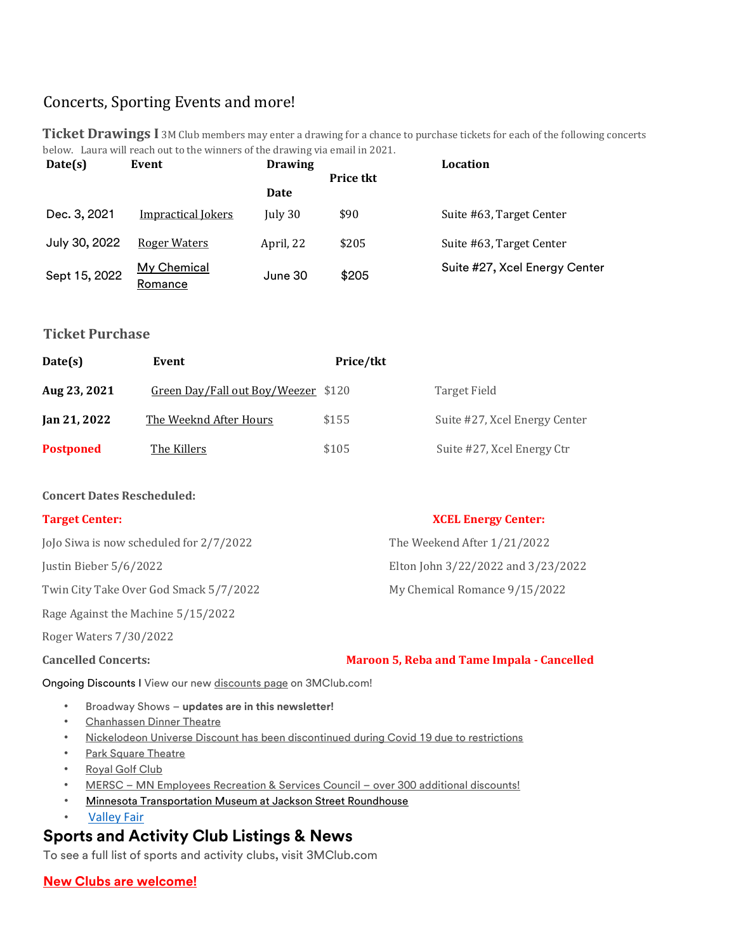# Concerts, Sporting Events and more!

| below. Laura will reach out to the winners of the drawing via email in 2021. |                           |                |                  |                               |  |  |  |
|------------------------------------------------------------------------------|---------------------------|----------------|------------------|-------------------------------|--|--|--|
| Date(s)                                                                      | Event                     | <b>Drawing</b> |                  | Location                      |  |  |  |
|                                                                              |                           |                | <b>Price tkt</b> |                               |  |  |  |
|                                                                              |                           | Date           |                  |                               |  |  |  |
| Dec. 3, 2021                                                                 | <b>Impractical Jokers</b> | July 30        | \$90             | Suite #63, Target Center      |  |  |  |
| July 30, 2022                                                                | <b>Roger Waters</b>       | April, 22      | \$205            | Suite #63, Target Center      |  |  |  |
| Sept 15, 2022                                                                | My Chemical<br>Romance    | June 30        | \$205            | Suite #27, Xcel Energy Center |  |  |  |

**Ticket Drawings I** 3M Club members may enter a drawing for a chance to purchase tickets for each of the following concerts

## **Ticket Purchase**

| Date(s)          | Event                               | Price/tkt |                               |
|------------------|-------------------------------------|-----------|-------------------------------|
| Aug 23, 2021     | Green Day/Fall out Boy/Weezer \$120 |           | Target Field                  |
| Jan 21, 2022     | The Weeknd After Hours              | \$155     | Suite #27, Xcel Energy Center |
| <b>Postponed</b> | The Killers                         | \$105     | Suite #27, Xcel Energy Ctr    |

## **Concert Dates Rescheduled:**

## **Target Center: XCEL Energy Center:**

JoJo Siwa is now scheduled for 2/7/2022 The Weekend After 1/21/2022

Justin Bieber 5/6/2022 Elton John 3/22/2022 and 3/23/2022

Twin City Take Over God Smack 5/7/2022 My Chemical Romance  $9/15/2022$ 

Rage Against the Machine 5/15/2022

Roger Waters 7/30/2022

## **Cancelled Concerts: Maroon 5, Reba and Tame Impala - Cancelled**

Ongoing Discounts I View our new [discounts page](http://3mclub.com/member-only/discounts/) on 3MClub.com!

- Broadway Shows **updates are in this newsletter!**
- [Chanhassen Dinner Theatre](http://3mclub.com/files/6115/8335/4379/Chanhassen_2020.pdf)
- [Nickelodeon Universe Discount has been discontinued during Covid 19 due to restrictions](http://3mclub.com/files/4315/9793/8602/Nickelodeon_Universe.pdf)
- **[Park Square Theatre](http://3mclub.com/files/4515/9793/6533/2020_Park_Square_Theatre.pdf)**
- [Royal Golf Club](http://3mclub.com/files/9716/1072/7623/2021_Royal_Golf_Rates_Sheet_003.pdf)
- [MERSC](http://www.mersc.com/) [–](http://www.mersc.com/) [MN Employees Recreation & Services Council](http://www.mersc.com/) [–](http://www.mersc.com/) [over 300 additional discounts!](http://www.mersc.com/)
- Minnesota Transportation Museum at Jackson Street Roundhouse
- **[Valley Fair](http://3mclub.com/index.php/download_file/view/1755/427/)**

# **Sports and Activity Club Listings & News**

To see a full list of sports and activity clubs, visit [3MClub.com](http://www.3mclub.com/)

## **New Clubs are welcome!**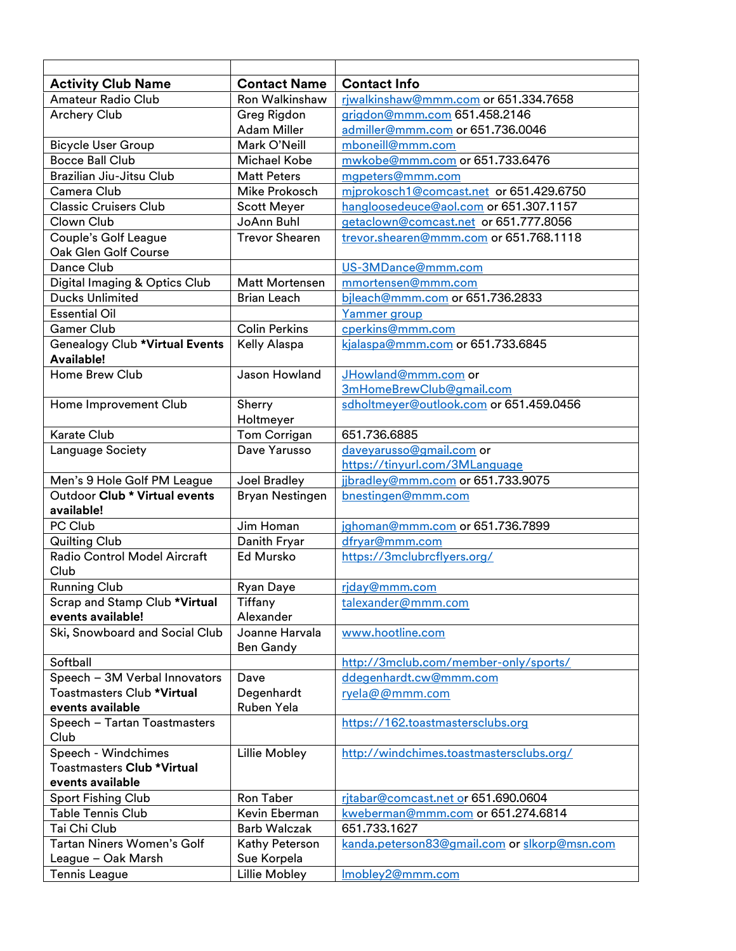| <b>Activity Club Name</b>                                  | <b>Contact Name</b>                | <b>Contact Info</b>                          |  |
|------------------------------------------------------------|------------------------------------|----------------------------------------------|--|
| <b>Amateur Radio Club</b>                                  | <b>Ron Walkinshaw</b>              | riwalkinshaw@mmm.com or 651.334.7658         |  |
| <b>Archery Club</b>                                        | Greg Rigdon                        | grigdon@mmm.com 651.458.2146                 |  |
|                                                            | Adam Miller                        | admiller@mmm.com or 651.736.0046             |  |
| <b>Bicycle User Group</b>                                  | Mark O'Neill                       | mboneill@mmm.com                             |  |
| <b>Bocce Ball Club</b>                                     | Michael Kobe                       | mwkobe@mmm.com or 651.733.6476               |  |
| Brazilian Jiu-Jitsu Club                                   | <b>Matt Peters</b>                 | mgpeters@mmm.com                             |  |
| Camera Club                                                | <b>Mike Prokosch</b>               | miprokosch1@comcast.net or 651.429.6750      |  |
| <b>Classic Cruisers Club</b>                               | <b>Scott Meyer</b>                 | hangloosedeuce@aol.com or 651.307.1157       |  |
| Clown Club                                                 | JoAnn Buhl                         | getaclown@comcast.net or 651.777.8056        |  |
| Couple's Golf League                                       | <b>Trevor Shearen</b>              | trevor.shearen@mmm.com or 651.768.1118       |  |
| Oak Glen Golf Course                                       |                                    |                                              |  |
| Dance Club                                                 |                                    | US-3MDance@mmm.com                           |  |
| Digital Imaging & Optics Club                              | <b>Matt Mortensen</b>              | mmortensen@mmm.com                           |  |
| <b>Ducks Unlimited</b>                                     | <b>Brian Leach</b>                 | bjleach@mmm.com or 651.736.2833              |  |
| <b>Essential Oil</b>                                       |                                    | Yammer group                                 |  |
| <b>Gamer Club</b>                                          | <b>Colin Perkins</b>               | cperkins@mmm.com                             |  |
| <b>Genealogy Club *Virtual Events</b><br><b>Available!</b> | <b>Kelly Alaspa</b>                | kjalaspa@mmm.com or 651.733.6845             |  |
| Home Brew Club                                             | Jason Howland                      | JHowland@mmm.com or                          |  |
|                                                            |                                    | 3mHomeBrewClub@gmail.com                     |  |
| Home Improvement Club                                      | Sherry                             | sdholtmeyer@outlook.com or 651.459.0456      |  |
|                                                            | Holtmeyer                          |                                              |  |
| <b>Karate Club</b>                                         | Tom Corrigan                       | 651.736.6885                                 |  |
| Language Society                                           | Dave Yarusso                       | daveyarusso@gmail.com or                     |  |
|                                                            |                                    | https://tinyurl.com/3MLanguage               |  |
| Men's 9 Hole Golf PM League                                | Joel Bradley                       | jjbradley@mmm.com or 651.733.9075            |  |
| Outdoor Club * Virtual events                              | Bryan Nestingen                    | bnestingen@mmm.com                           |  |
| available!                                                 |                                    |                                              |  |
| PC Club                                                    | Jim Homan                          | jghoman@mmm.com or 651.736.7899              |  |
| <b>Quilting Club</b>                                       | Danith Fryar                       | dfryar@mmm.com                               |  |
| <b>Radio Control Model Aircraft</b><br>Club                | <b>Ed Mursko</b>                   | https://3mclubrcflyers.org/                  |  |
| <b>Running Club</b>                                        | Ryan Daye                          | riday@mmm.com                                |  |
| Scrap and Stamp Club *Virtual                              | Tiffany                            | <u>talexander@mmm.com</u>                    |  |
| events available!                                          | Alexander                          |                                              |  |
| Ski, Snowboard and Social Club                             | Joanne Harvala<br><b>Ben Gandy</b> | www.hootline.com                             |  |
| Softball                                                   |                                    | http://3mclub.com/member-only/sports/        |  |
| Speech - 3M Verbal Innovators                              | Dave                               | ddegenhardt.cw@mmm.com                       |  |
| Toastmasters Club *Virtual                                 | Degenhardt                         | ryela@@mmm.com                               |  |
| events available                                           | Ruben Yela                         |                                              |  |
| Speech - Tartan Toastmasters                               |                                    | https://162.toastmastersclubs.org            |  |
| Club                                                       |                                    |                                              |  |
| Speech - Windchimes                                        | Lillie Mobley                      | http://windchimes.toastmastersclubs.org/     |  |
| <b>Toastmasters Club *Virtual</b>                          |                                    |                                              |  |
| events available                                           |                                    |                                              |  |
| <b>Sport Fishing Club</b>                                  | Ron Taber                          | ritabar@comcast.net or 651.690.0604          |  |
| <b>Table Tennis Club</b>                                   | Kevin Eberman                      | kweberman@mmm.com or 651.274.6814            |  |
| Tai Chi Club<br><b>Barb Walczak</b>                        |                                    | 651.733.1627                                 |  |
| Tartan Niners Women's Golf                                 | Kathy Peterson                     | kanda.peterson83@gmail.com or slkorp@msn.com |  |
| League - Oak Marsh                                         | Sue Korpela                        |                                              |  |
| <b>Tennis League</b>                                       | Lillie Mobley                      | Imobley2@mmm.com                             |  |